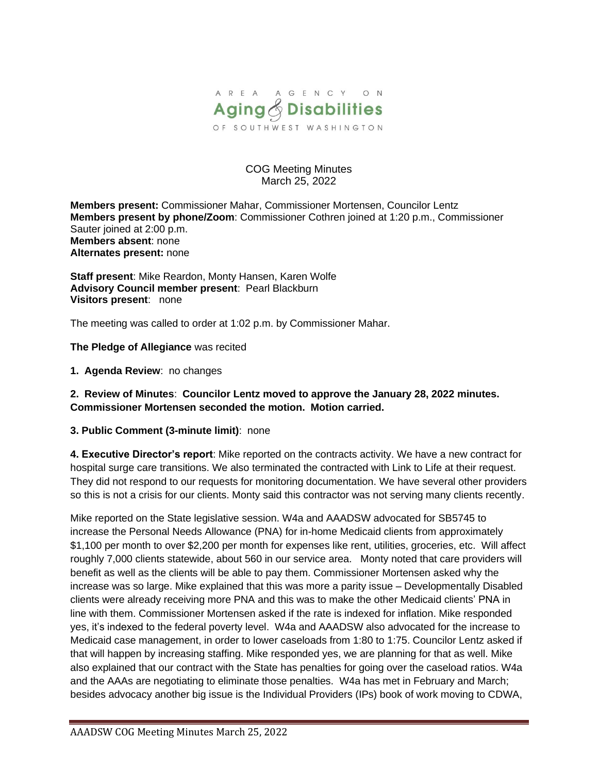

#### COG Meeting Minutes March 25, 2022

**Members present:** Commissioner Mahar, Commissioner Mortensen, Councilor Lentz **Members present by phone/Zoom**: Commissioner Cothren joined at 1:20 p.m., Commissioner Sauter joined at 2:00 p.m. **Members absent**: none **Alternates present:** none

**Staff present**: Mike Reardon, Monty Hansen, Karen Wolfe **Advisory Council member present**: Pearl Blackburn **Visitors present**: none

The meeting was called to order at 1:02 p.m. by Commissioner Mahar.

**The Pledge of Allegiance** was recited

**1. Agenda Review**: no changes

**2. Review of Minutes**: **Councilor Lentz moved to approve the January 28, 2022 minutes. Commissioner Mortensen seconded the motion. Motion carried.**

**3. Public Comment (3-minute limit)**: none

**4. Executive Director's report**: Mike reported on the contracts activity. We have a new contract for hospital surge care transitions. We also terminated the contracted with Link to Life at their request. They did not respond to our requests for monitoring documentation. We have several other providers so this is not a crisis for our clients. Monty said this contractor was not serving many clients recently.

Mike reported on the State legislative session. W4a and AAADSW advocated for SB5745 to increase the Personal Needs Allowance (PNA) for in-home Medicaid clients from approximately \$1,100 per month to over \$2,200 per month for expenses like rent, utilities, groceries, etc. Will affect roughly 7,000 clients statewide, about 560 in our service area. Monty noted that care providers will benefit as well as the clients will be able to pay them. Commissioner Mortensen asked why the increase was so large. Mike explained that this was more a parity issue – Developmentally Disabled clients were already receiving more PNA and this was to make the other Medicaid clients' PNA in line with them. Commissioner Mortensen asked if the rate is indexed for inflation. Mike responded yes, it's indexed to the federal poverty level. W4a and AAADSW also advocated for the increase to Medicaid case management, in order to lower caseloads from 1:80 to 1:75. Councilor Lentz asked if that will happen by increasing staffing. Mike responded yes, we are planning for that as well. Mike also explained that our contract with the State has penalties for going over the caseload ratios. W4a and the AAAs are negotiating to eliminate those penalties. W4a has met in February and March; besides advocacy another big issue is the Individual Providers (IPs) book of work moving to CDWA,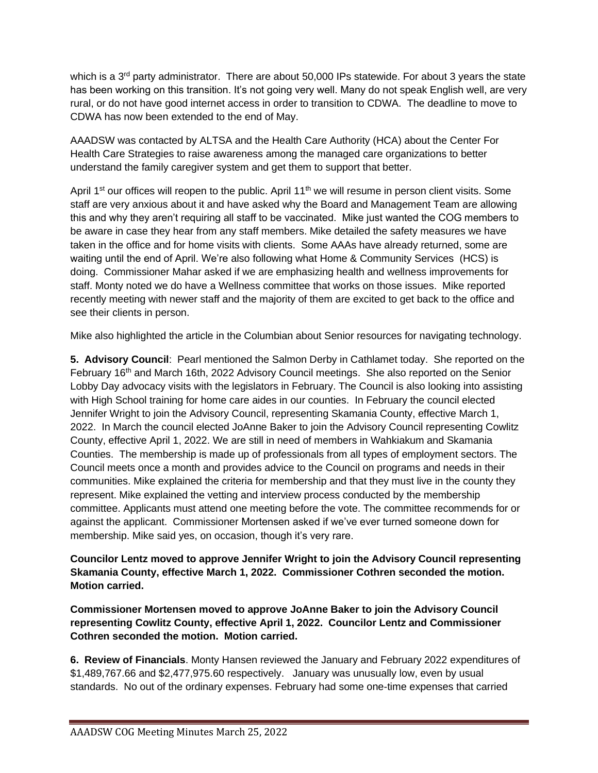which is a 3<sup>rd</sup> party administrator. There are about 50,000 IPs statewide. For about 3 years the state has been working on this transition. It's not going very well. Many do not speak English well, are very rural, or do not have good internet access in order to transition to CDWA. The deadline to move to CDWA has now been extended to the end of May.

AAADSW was contacted by ALTSA and the Health Care Authority (HCA) about the Center For Health Care Strategies to raise awareness among the managed care organizations to better understand the family caregiver system and get them to support that better.

April 1<sup>st</sup> our offices will reopen to the public. April 11<sup>th</sup> we will resume in person client visits. Some staff are very anxious about it and have asked why the Board and Management Team are allowing this and why they aren't requiring all staff to be vaccinated. Mike just wanted the COG members to be aware in case they hear from any staff members. Mike detailed the safety measures we have taken in the office and for home visits with clients. Some AAAs have already returned, some are waiting until the end of April. We're also following what Home & Community Services (HCS) is doing. Commissioner Mahar asked if we are emphasizing health and wellness improvements for staff. Monty noted we do have a Wellness committee that works on those issues. Mike reported recently meeting with newer staff and the majority of them are excited to get back to the office and see their clients in person.

Mike also highlighted the article in the Columbian about Senior resources for navigating technology.

**5. Advisory Council**: Pearl mentioned the Salmon Derby in Cathlamet today. She reported on the February 16<sup>th</sup> and March 16th, 2022 Advisory Council meetings. She also reported on the Senior Lobby Day advocacy visits with the legislators in February. The Council is also looking into assisting with High School training for home care aides in our counties. In February the council elected Jennifer Wright to join the Advisory Council, representing Skamania County, effective March 1, 2022. In March the council elected JoAnne Baker to join the Advisory Council representing Cowlitz County, effective April 1, 2022. We are still in need of members in Wahkiakum and Skamania Counties. The membership is made up of professionals from all types of employment sectors. The Council meets once a month and provides advice to the Council on programs and needs in their communities. Mike explained the criteria for membership and that they must live in the county they represent. Mike explained the vetting and interview process conducted by the membership committee. Applicants must attend one meeting before the vote. The committee recommends for or against the applicant. Commissioner Mortensen asked if we've ever turned someone down for membership. Mike said yes, on occasion, though it's very rare.

### **Councilor Lentz moved to approve Jennifer Wright to join the Advisory Council representing Skamania County, effective March 1, 2022. Commissioner Cothren seconded the motion. Motion carried.**

**Commissioner Mortensen moved to approve JoAnne Baker to join the Advisory Council representing Cowlitz County, effective April 1, 2022. Councilor Lentz and Commissioner Cothren seconded the motion. Motion carried.**

**6. Review of Financials**. Monty Hansen reviewed the January and February 2022 expenditures of \$1,489,767.66 and \$2,477,975.60 respectively. January was unusually low, even by usual standards. No out of the ordinary expenses. February had some one-time expenses that carried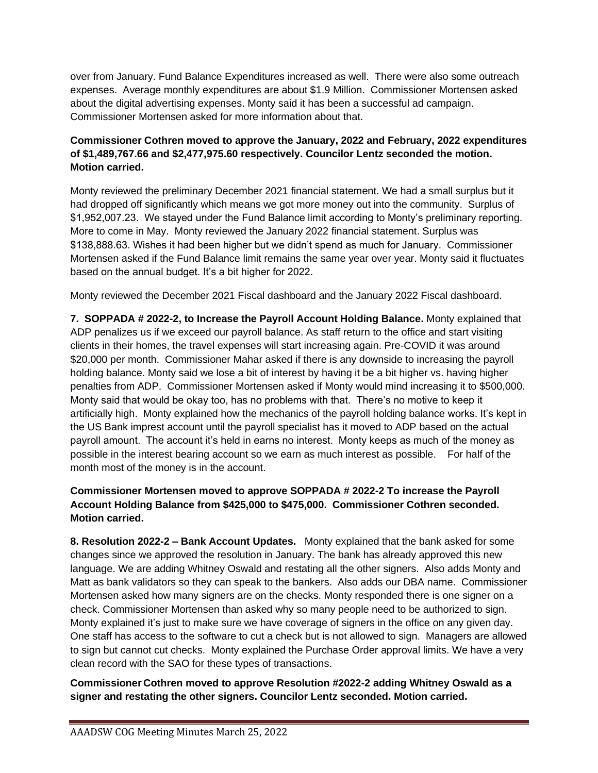over from January. Fund Balance Expenditures increased as well. There were also some outreach expenses. Average monthly expenditures are about \$1.9 Million. Commissioner Mortensen asked about the digital advertising expenses. Monty said it has been a successful ad campaign. Commissioner Mortensen asked for more information about that.

# **Commissioner Cothren moved to approve the January, 2022 and February, 2022 expenditures of \$1,489,767.66 and \$2,477,975.60 respectively. Councilor Lentz seconded the motion. Motion carried.**

Monty reviewed the preliminary December 2021 financial statement. We had a small surplus but it had dropped off significantly which means we got more money out into the community. Surplus of \$1,952,007.23. We stayed under the Fund Balance limit according to Monty's preliminary reporting. More to come in May. Monty reviewed the January 2022 financial statement. Surplus was \$138,888.63. Wishes it had been higher but we didn't spend as much for January. Commissioner Mortensen asked if the Fund Balance limit remains the same year over year. Monty said it fluctuates based on the annual budget. It's a bit higher for 2022.

Monty reviewed the December 2021 Fiscal dashboard and the January 2022 Fiscal dashboard.

**7. SOPPADA # 2022-2, to Increase the Payroll Account Holding Balance.** Monty explained that ADP penalizes us if we exceed our payroll balance. As staff return to the office and start visiting clients in their homes, the travel expenses will start increasing again. Pre-COVID it was around \$20,000 per month. Commissioner Mahar asked if there is any downside to increasing the payroll holding balance. Monty said we lose a bit of interest by having it be a bit higher vs. having higher penalties from ADP. Commissioner Mortensen asked if Monty would mind increasing it to \$500,000. Monty said that would be okay too, has no problems with that. There's no motive to keep it artificially high. Monty explained how the mechanics of the payroll holding balance works. It's kept in the US Bank imprest account until the payroll specialist has it moved to ADP based on the actual payroll amount. The account it's held in earns no interest. Monty keeps as much of the money as possible in the interest bearing account so we earn as much interest as possible. For half of the month most of the money is in the account.

# **Commissioner Mortensen moved to approve SOPPADA # 2022-2 To increase the Payroll Account Holding Balance from \$425,000 to \$475,000. Commissioner Cothren seconded. Motion carried.**

**8. Resolution 2022-2 – Bank Account Updates.** Monty explained that the bank asked for some changes since we approved the resolution in January. The bank has already approved this new language. We are adding Whitney Oswald and restating all the other signers. Also adds Monty and Matt as bank validators so they can speak to the bankers. Also adds our DBA name. Commissioner Mortensen asked how many signers are on the checks. Monty responded there is one signer on a check. Commissioner Mortensen than asked why so many people need to be authorized to sign. Monty explained it's just to make sure we have coverage of signers in the office on any given day. One staff has access to the software to cut a check but is not allowed to sign. Managers are allowed to sign but cannot cut checks. Monty explained the Purchase Order approval limits. We have a very clean record with the SAO for these types of transactions.

### **Commissioner Cothren moved to approve Resolution #2022-2 adding Whitney Oswald as a signer and restating the other signers. Councilor Lentz seconded. Motion carried.**